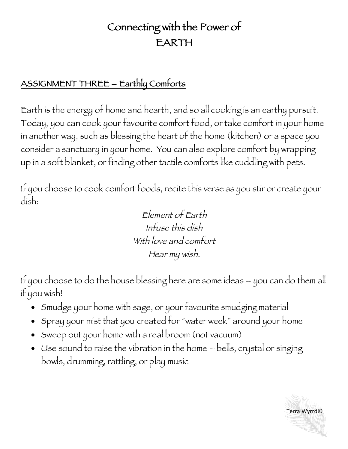## Connecting with the Power of EARTH

## ASSIGNMENT THREE – Earthly Comforts

Earth is the energy of home and hearth, and so all cooking is an earthy pursuit. Today, you can cook your favourite comfort food, or take comfort in your home in another way, such as blessing the heart of the home (kitchen) or a space you consider a sanctuary in your home. You can also explore comfort by wrapping up in a soft blanket, or finding other tactile comforts like cuddling with pets.

If you choose to cook comfort foods, recite this verse as you stir or create your dish:

> Element of Earth Infuse this dish With love and comfort Hear my wish.

If you choose to do the house blessing here are some ideas – you can do them all if you wish!

- Smudge your home with sage, or your favourite smudging material
- Spray your mist that you created for "water week" around your home
- Sweep out your home with a real broom (not vacuum)
- Use sound to raise the vibration in the home bells, crystal or singing bowls, drumming, rattling, or play music